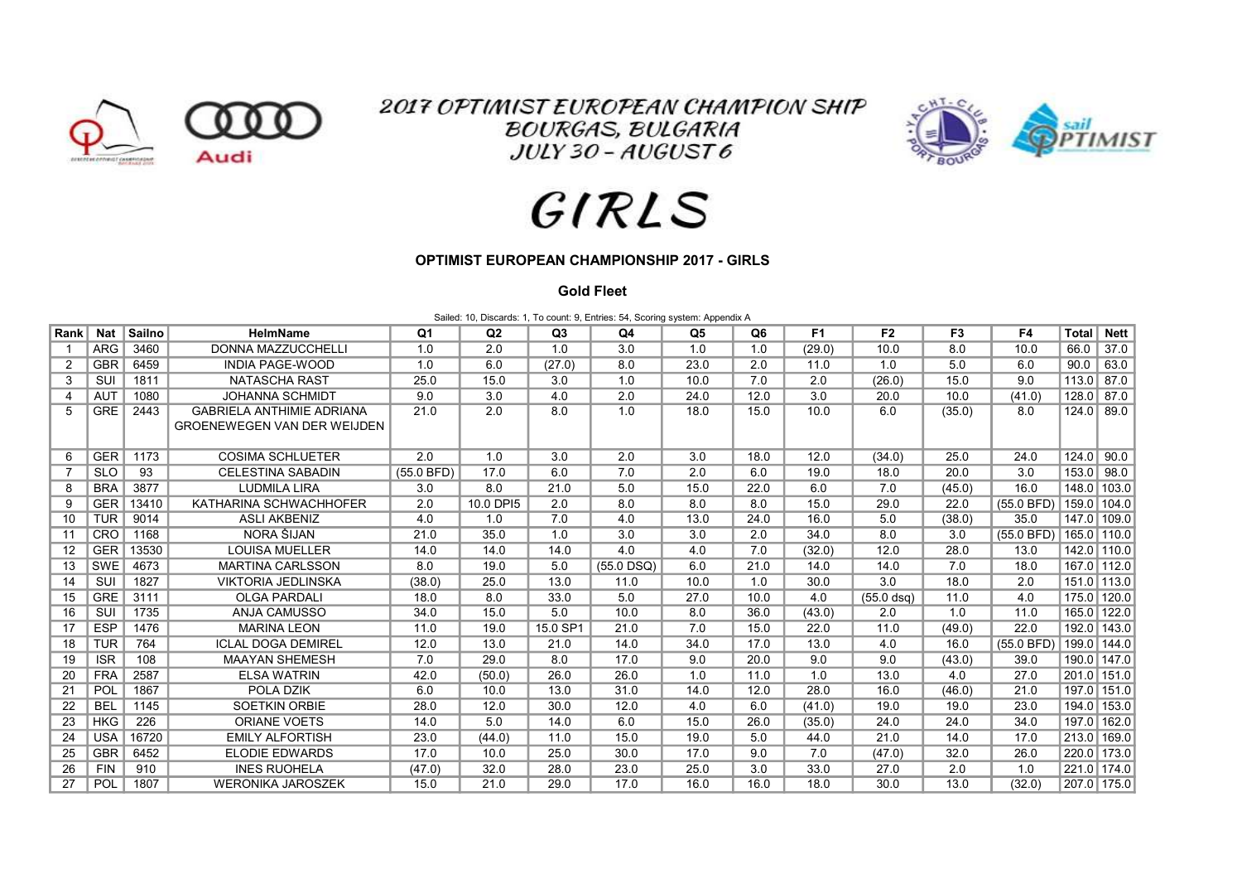

**2017 OPTIMIST EUROPEAN CHAMPION SHIP BOURGAS, BULGARIA**  $JULY$  30 -  $AUGUST6$ 



## GIRLS

## OPTIMIST EUROPEAN CHAMPIONSHIP 2017 - GIRLS

## Gold Fleet

Sailed: 10, Discards: 1, To count: 9, Entries: 54, Scoring system: Appendix A

| Rank | <b>Nat</b> | Sailno | <b>HelmName</b>                    | Q <sub>1</sub> | Q2        | Q3       | Q <sub>4</sub> | Q <sub>5</sub> | Q <sub>6</sub> | F <sub>1</sub> | F <sub>2</sub> | F <sub>3</sub> | F4         | <b>Total</b> | <b>Nett</b>   |
|------|------------|--------|------------------------------------|----------------|-----------|----------|----------------|----------------|----------------|----------------|----------------|----------------|------------|--------------|---------------|
|      | <b>ARG</b> | 3460   | <b>DONNA MAZZUCCHELLI</b>          | 1.0            | 2.0       | 1.0      | 3.0            | 1.0            | 1.0            | (29.0)         | 10.0           | 8.0            | 10.0       | 66.0         | 37.0          |
| 2    | <b>GBR</b> | 6459   | <b>INDIA PAGE-WOOD</b>             | 1.0            | 6.0       | (27.0)   | 8.0            | 23.0           | 2.0            | 11.0           | 1.0            | 5.0            | 6.0        | 90.0         | 63.0          |
| 3    | SUI        | 1811   | <b>NATASCHA RAST</b>               | 25.0           | 15.0      | 3.0      | 1.0            | 10.0           | 7.0            | 2.0            | (26.0)         | 15.0           | 9.0        | 113.0        | 87.0          |
| 4    | <b>AUT</b> | 1080   | <b>JOHANNA SCHMIDT</b>             | 9.0            | 3.0       | 4.0      | 2.0            | 24.0           | 12.0           | 3.0            | 20.0           | 10.0           | (41.0)     | 128.0        | 87.0          |
| 5    | <b>GRE</b> | 2443   | <b>GABRIELA ANTHIMIE ADRIANA</b>   | 21.0           | 2.0       | 8.0      | 1.0            | 18.0           | 15.0           | 10.0           | 6.0            | (35.0)         | 8.0        | 124.0        | 89.0          |
|      |            |        | <b>GROENEWEGEN VAN DER WEIJDEN</b> |                |           |          |                |                |                |                |                |                |            |              |               |
|      |            |        |                                    |                |           |          |                |                |                |                |                |                |            |              |               |
| 6    | <b>GER</b> | 1173   | <b>COSIMA SCHLUETER</b>            | 2.0            | 1.0       | 3.0      | 2.0            | 3.0            | 18.0           | 12.0           | (34.0)         | 25.0           | 24.0       | 124.0        | 90.0          |
| 7    | <b>SLO</b> | 93     | <b>CELESTINA SABADIN</b>           | $(55.0$ BFD)   | 17.0      | 6.0      | 7.0            | 2.0            | 6.0            | 19.0           | 18.0           | 20.0           | 3.0        | 153.0        | 98.0          |
| 8    | <b>BRA</b> | 3877   | <b>LUDMILA LIRA</b>                | 3.0            | 8.0       | 21.0     | 5.0            | 15.0           | 22.0           | 6.0            | 7.0            | (45.0)         | 16.0       | 148.0 103.0  |               |
| 9    | <b>GER</b> | 13410  | KATHARINA SCHWACHHOFER             | 2.0            | 10.0 DPI5 | 2.0      | 8.0            | 8.0            | 8.0            | 15.0           | 29.0           | 22.0           | (55.0 BFD) | 159.0 104.0  |               |
| 10   | <b>TUR</b> | 9014   | <b>ASLI AKBENIZ</b>                | 4.0            | 1.0       | 7.0      | 4.0            | 13.0           | 24.0           | 16.0           | 5.0            | (38.0)         | 35.0       |              | 147.0 109.0   |
| 11   | CRO        | 1168   | NORA ŠIJAN                         | 21.0           | 35.0      | 1.0      | 3.0            | 3.0            | 2.0            | 34.0           | 8.0            | 3.0            | (55.0 BFD) | 165.0 110.0  |               |
| 12   | <b>GER</b> | 13530  | <b>LOUISA MUELLER</b>              | 14.0           | 14.0      | 14.0     | 4.0            | 4.0            | 7.0            | (32.0)         | 12.0           | 28.0           | 13.0       |              | $142.0$ 110.0 |
| 13   | SWE        | 4673   | <b>MARTINA CARLSSON</b>            | 8.0            | 19.0      | 5.0      | $(55.0$ DSQ)   | 6.0            | 21.0           | 14.0           | 14.0           | 7.0            | 18.0       |              | 167.0 112.0   |
| 14   | SUI        | 1827   | <b>VIKTORIA JEDLINSKA</b>          | (38.0)         | 25.0      | 13.0     | 11.0           | 10.0           | 1.0            | 30.0           | 3.0            | 18.0           | 2.0        | 151.0 113.0  |               |
| 15   | <b>GRE</b> | 3111   | <b>OLGA PARDALI</b>                | 18.0           | 8.0       | 33.0     | 5.0            | 27.0           | 10.0           | 4.0            | $(55.0$ dsg)   | 11.0           | 4.0        | 175.0 120.0  |               |
| 16   | SUI        | 1735   | <b>ANJA CAMUSSO</b>                | 34.0           | 15.0      | 5.0      | 10.0           | 8.0            | 36.0           | (43.0)         | 2.0            | 1.0            | 11.0       |              | 165.0 122.0   |
| 17   | <b>ESP</b> | 1476   | <b>MARINA LEON</b>                 | 11.0           | 19.0      | 15.0 SP1 | 21.0           | 7.0            | 15.0           | 22.0           | 11.0           | (49.0)         | 22.0       |              | 192.0 143.0   |
| 18   | <b>TUR</b> | 764    | <b>ICLAL DOGA DEMIREL</b>          | 12.0           | 13.0      | 21.0     | 14.0           | 34.0           | 17.0           | 13.0           | 4.0            | 16.0           | (55.0 BFD) | 199.0 144.0  |               |
| 19   | <b>ISR</b> | 108    | <b>MAAYAN SHEMESH</b>              | 7.0            | 29.0      | 8.0      | 17.0           | 9.0            | 20.0           | 9.0            | 9.0            | (43.0)         | 39.0       |              | 190.0 147.0   |
| 20   | <b>FRA</b> | 2587   | <b>ELSA WATRIN</b>                 | 42.0           | (50.0)    | 26.0     | 26.0           | 1.0            | 11.0           | 1.0            | 13.0           | 4.0            | 27.0       | 201.0 151.0  |               |
| 21   | POL        | 1867   | POLA DZIK                          | 6.0            | 10.0      | 13.0     | 31.0           | 14.0           | 12.0           | 28.0           | 16.0           | (46.0)         | 21.0       |              | 197.0 151.0   |
| 22   | <b>BEL</b> | 1145   | <b>SOETKIN ORBIE</b>               | 28.0           | 12.0      | 30.0     | 12.0           | 4.0            | 6.0            | (41.0)         | 19.0           | 19.0           | 23.0       | 194.0 153.0  |               |
| 23   | <b>HKG</b> | 226    | ORIANE VOETS                       | 14.0           | 5.0       | 14.0     | 6.0            | 15.0           | 26.0           | (35.0)         | 24.0           | 24.0           | 34.0       | 197.0 162.0  |               |
| 24   | <b>USA</b> | 16720  | <b>EMILY ALFORTISH</b>             | 23.0           | (44.0)    | 11.0     | 15.0           | 19.0           | 5.0            | 44.0           | 21.0           | 14.0           | 17.0       | 213.0 169.0  |               |
| 25   | <b>GBR</b> | 6452   | <b>ELODIE EDWARDS</b>              | 17.0           | 10.0      | 25.0     | 30.0           | 17.0           | 9.0            | 7.0            | (47.0)         | 32.0           | 26.0       | 220.0 173.0  |               |
| 26   | <b>FIN</b> | 910    | <b>INES RUOHELA</b>                | (47.0)         | 32.0      | 28.0     | 23.0           | 25.0           | 3.0            | 33.0           | 27.0           | 2.0            | 1.0        | 221.0 174.0  |               |
| 27   | POL        | 1807   | <b>WERONIKA JAROSZEK</b>           | 15.0           | 21.0      | 29.0     | 17.0           | 16.0           | 16.0           | 18.0           | 30.0           | 13.0           | (32.0)     | 207.0 175.0  |               |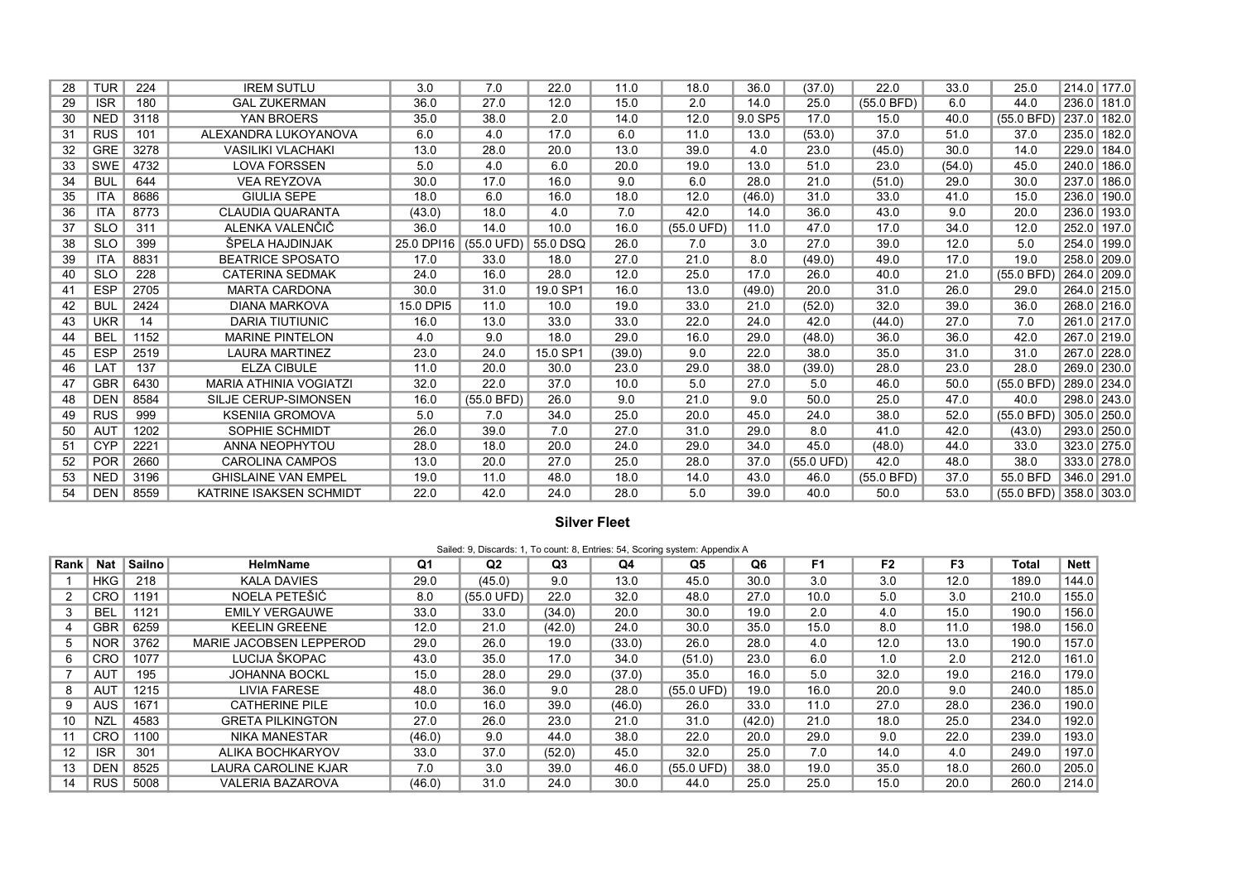| 28 | <b>TUR</b> | 224  | <b>IREM SUTLU</b>             | 3.0        | 7.0                           | 22.0     | 11.0   | 18.0       | 36.0    | (37.0)     | 22.0       | 33.0   | 25.0                        | 214.0 177.0   |
|----|------------|------|-------------------------------|------------|-------------------------------|----------|--------|------------|---------|------------|------------|--------|-----------------------------|---------------|
| 29 | <b>ISR</b> | 180  | <b>GAL ZUKERMAN</b>           | 36.0       | 27.0                          | 12.0     | 15.0   | 2.0        | 14.0    | 25.0       | (55.0 BFD) | 6.0    | 44.0                        | 236.0 181.0   |
| 30 | <b>NED</b> | 3118 | YAN BROERS                    | 35.0       | 38.0                          | 2.0      | 14.0   | 12.0       | 9.0 SP5 | 17.0       | 15.0       | 40.0   | (55.0 BFD)                  | 237.0 182.0   |
| 31 | <b>RUS</b> | 101  | ALEXANDRA LUKOYANOVA          | 6.0        | 4.0                           | 17.0     | 6.0    | 11.0       | 13.0    | (53.0)     | 37.0       | 51.0   | 37.0                        | 235.0 182.0   |
| 32 | <b>GRE</b> | 3278 | <b>VASILIKI VLACHAKI</b>      | 13.0       | 28.0                          | 20.0     | 13.0   | 39.0       | 4.0     | 23.0       | (45.0)     | 30.0   | 14.0                        | 229.0 184.0   |
| 33 | <b>SWE</b> | 4732 | <b>LOVA FORSSEN</b>           | 5.0        | 4.0                           | 6.0      | 20.0   | 19.0       | 13.0    | 51.0       | 23.0       | (54.0) | 45.0                        | 240.0 186.0   |
| 34 | <b>BUL</b> | 644  | <b>VEA REYZOVA</b>            | 30.0       | 17.0                          | 16.0     | 9.0    | 6.0        | 28.0    | 21.0       | (51.0)     | 29.0   | 30.0                        | 237.0 186.0   |
| 35 | <b>ITA</b> | 8686 | <b>GIULIA SEPE</b>            | 18.0       | 6.0                           | 16.0     | 18.0   | 12.0       | (46.0)  | 31.0       | 33.0       | 41.0   | 15.0                        | 236.0 190.0   |
| 36 | <b>ITA</b> | 8773 | <b>CLAUDIA QUARANTA</b>       | (43.0)     | 18.0                          | 4.0      | 7.0    | 42.0       | 14.0    | 36.0       | 43.0       | 9.0    | 20.0                        | 236.0 193.0   |
| 37 | <b>SLO</b> | 311  | ALENKA VALENČIČ               | 36.0       | 14.0                          | 10.0     | 16.0   | (55.0 UFD) | 11.0    | 47.0       | 17.0       | 34.0   | 12.0                        | 252.0 197.0   |
| 38 | <b>SLO</b> | 399  | ŠPELA HAJDINJAK               | 25.0 DPI16 | $(55.0 \text{ UFD})$ 55.0 DSQ |          | 26.0   | 7.0        | 3.0     | 27.0       | 39.0       | 12.0   | 5.0                         | 254.0 199.0   |
| 39 | <b>ITA</b> | 8831 | <b>BEATRICE SPOSATO</b>       | 17.0       | 33.0                          | 18.0     | 27.0   | 21.0       | 8.0     | (49.0)     | 49.0       | 17.0   | 19.0                        | 258.0 209.0   |
| 40 | <b>SLO</b> | 228  | <b>CATERINA SEDMAK</b>        | 24.0       | 16.0                          | 28.0     | 12.0   | 25.0       | 17.0    | 26.0       | 40.0       | 21.0   | $(55.0$ BFD)                | 264.0 209.0   |
| 41 | <b>ESP</b> | 2705 | <b>MARTA CARDONA</b>          | 30.0       | 31.0                          | 19.0 SP1 | 16.0   | 13.0       | (49.0)  | 20.0       | 31.0       | 26.0   | 29.0                        | 264.0 215.0   |
| 42 | <b>BUL</b> | 2424 | <b>DIANA MARKOVA</b>          | 15.0 DPI5  | 11.0                          | 10.0     | 19.0   | 33.0       | 21.0    | (52.0)     | 32.0       | 39.0   | 36.0                        | 268.0 216.0   |
| 43 | <b>UKR</b> | 14   | <b>DARIA TIUTIUNIC</b>        | 16.0       | 13.0                          | 33.0     | 33.0   | 22.0       | 24.0    | 42.0       | (44.0)     | 27.0   | 7.0                         | 261.0 217.0   |
| 44 | <b>BEL</b> | 1152 | <b>MARINE PINTELON</b>        | 4.0        | 9.0                           | 18.0     | 29.0   | 16.0       | 29.0    | (48.0)     | 36.0       | 36.0   | 42.0                        | 267.0 219.0   |
| 45 | <b>ESP</b> | 2519 | <b>LAURA MARTINEZ</b>         | 23.0       | 24.0                          | 15.0 SP1 | (39.0) | 9.0        | 22.0    | 38.0       | 35.0       | 31.0   | 31.0                        | 267.0 228.0   |
| 46 | LAT        | 137  | <b>ELZA CIBULE</b>            | 11.0       | 20.0                          | 30.0     | 23.0   | 29.0       | 38.0    | (39.0)     | 28.0       | 23.0   | 28.0                        | 269.0 230.0   |
| 47 | <b>GBR</b> | 6430 | <b>MARIA ATHINIA VOGIATZI</b> | 32.0       | 22.0                          | 37.0     | 10.0   | 5.0        | 27.0    | 5.0        | 46.0       | 50.0   | (55.0 BFD)                  | 289.0 234.0   |
| 48 | <b>DEN</b> | 8584 | SILJE CERUP-SIMONSEN          | 16.0       | $(55.0$ BFD)                  | 26.0     | 9.0    | 21.0       | 9.0     | 50.0       | 25.0       | 47.0   | 40.0                        | 298.0 243.0   |
| 49 | <b>RUS</b> | 999  | <b>KSENIIA GROMOVA</b>        | 5.0        | 7.0                           | 34.0     | 25.0   | 20.0       | 45.0    | 24.0       | 38.0       | 52.0   | (55.0 BFD)                  | $305.0$ 250.0 |
| 50 | <b>AUT</b> | 1202 | SOPHIE SCHMIDT                | 26.0       | 39.0                          | 7.0      | 27.0   | 31.0       | 29.0    | 8.0        | 41.0       | 42.0   | (43.0)                      | 293.0 250.0   |
| 51 | <b>CYP</b> | 2221 | <b>ANNA NEOPHYTOU</b>         | 28.0       | 18.0                          | 20.0     | 24.0   | 29.0       | 34.0    | 45.0       | (48.0)     | 44.0   | 33.0                        | 323.0 275.0   |
| 52 | <b>POR</b> | 2660 | <b>CAROLINA CAMPOS</b>        | 13.0       | 20.0                          | 27.0     | 25.0   | 28.0       | 37.0    | (55.0 UFD) | 42.0       | 48.0   | 38.0                        | 333.0 278.0   |
| 53 | <b>NED</b> | 3196 | <b>GHISLAINE VAN EMPEL</b>    | 19.0       | 11.0                          | 48.0     | 18.0   | 14.0       | 43.0    | 46.0       | (55.0 BFD) | 37.0   | 55.0 BFD                    | 346.0 291.0   |
| 54 | <b>DEN</b> | 8559 | KATRINE ISAKSEN SCHMIDT       | 22.0       | 42.0                          | 24.0     | 28.0   | 5.0        | 39.0    | 40.0       | 50.0       | 53.0   | $(55.0$ BFD) $ 358.0 303.0$ |               |

## Silver Fleet

|      | Sailed: 9, Discards: 1, To count: 8, Entries: 54, Scoring system: Appendix A |               |                         |        |                      |        |        |                      |        |                |                |                |       |             |
|------|------------------------------------------------------------------------------|---------------|-------------------------|--------|----------------------|--------|--------|----------------------|--------|----------------|----------------|----------------|-------|-------------|
| Rank | <b>Nat</b>                                                                   | <b>Sailno</b> | <b>HelmName</b>         | Q1     | Q2                   | Q3     | Q4     | Q5                   | Q6     | F <sub>1</sub> | F <sub>2</sub> | F <sub>3</sub> | Total | <b>Nett</b> |
|      | <b>HKG</b>                                                                   | 218           | <b>KALA DAVIES</b>      | 29.0   | (45.0)               | 9.0    | 13.0   | 45.0                 | 30.0   | 3.0            | 3.0            | 12.0           | 189.0 | 144.0       |
|      | <b>CRO</b>                                                                   | 1191          | NOELA PETEŠIĆ           | 8.0    | $(55.0 \text{ UFD})$ | 22.0   | 32.0   | 48.0                 | 27.0   | 10.0           | 5.0            | 3.0            | 210.0 | 155.0       |
|      | <b>BEL</b>                                                                   | 1121          | <b>EMILY VERGAUWE</b>   | 33.0   | 33.0                 | (34.0) | 20.0   | 30.0                 | 19.0   | 2.0            | 4.0            | 15.0           | 190.0 | 156.0       |
| 4    | <b>GBR</b>                                                                   | 6259          | <b>KEELIN GREENE</b>    | 12.0   | 21.0                 | (42.0) | 24.0   | 30.0                 | 35.0   | 15.0           | 8.0            | 11.0           | 198.0 | 156.0       |
| 5    | <b>NOR</b>                                                                   | 3762          | MARIE JACOBSEN LEPPEROD | 29.0   | 26.0                 | 19.0   | (33.0) | 26.0                 | 28.0   | 4.0            | 12.0           | 13.0           | 190.0 | 157.0       |
| 6    | <b>CRO</b>                                                                   | 1077          | LUCIJA ŠKOPAC           | 43.0   | 35.0                 | 17.0   | 34.0   | (51.0)               | 23.0   | 6.0            | 1.0            | 2.0            | 212.0 | 161.0       |
|      | AUT                                                                          | 195           | <b>JOHANNA BOCKL</b>    | 15.0   | 28.0                 | 29.0   | (37.0) | 35.0                 | 16.0   | 5.0            | 32.0           | 19.0           | 216.0 | 179.0       |
| 8    | AUT                                                                          | 1215          | LIVIA FARESE            | 48.0   | 36.0                 | 9.0    | 28.0   | $(55.0 \text{ UFD})$ | 19.0   | 16.0           | 20.0           | 9.0            | 240.0 | 185.0       |
|      | <b>AUS</b>                                                                   | 1671          | <b>CATHERINE PILE</b>   | 10.0   | 16.0                 | 39.0   | (46.0) | 26.0                 | 33.0   | 11.0           | 27.0           | 28.0           | 236.0 | 190.0       |
| 10   | <b>NZL</b>                                                                   | 4583          | <b>GRETA PILKINGTON</b> | 27.0   | 26.0                 | 23.0   | 21.0   | 31.0                 | (42.0) | 21.0           | 18.0           | 25.0           | 234.0 | 192.0       |
|      | <b>CRO</b>                                                                   | 1100          | <b>NIKA MANESTAR</b>    | (46.0) | 9.0                  | 44.0   | 38.0   | 22.0                 | 20.0   | 29.0           | 9.0            | 22.0           | 239.0 | 193.0       |
| 12   | <b>ISR</b>                                                                   | 301           | ALIKA BOCHKARYOV        | 33.0   | 37.0                 | (52.0) | 45.0   | 32.0                 | 25.0   | 7.0            | 14.0           | 4.0            | 249.0 | 197.0       |
| 13   | <b>DEN</b>                                                                   | 8525          | LAURA CAROLINE KJAR     | 7.0    | 3.0                  | 39.0   | 46.0   | $(55.0 \text{ UFD})$ | 38.0   | 19.0           | 35.0           | 18.0           | 260.0 | 205.0       |
| 14   | <b>RUS</b>                                                                   | 5008          | <b>VALERIA BAZAROVA</b> | (46.0) | 31.0                 | 24.0   | 30.0   | 44.0                 | 25.0   | 25.0           | 15.0           | 20.0           | 260.0 | 214.0       |